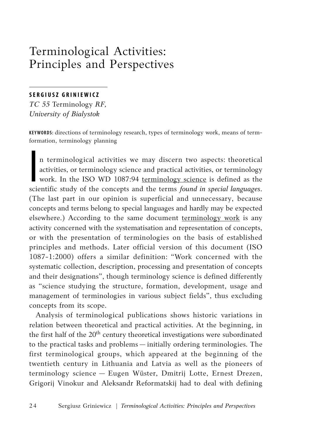# Terminological Activities: Principles and Perspectives

# **SERGIUSZ GRINIEWICZ**

*TC 55* Terminology *RF, University of Bialystok*

**KEYWORDS:** directions of terminology research, types of terminology work, means of termformation, terminology planning

**I**<br>Iscie n terminological activities we may discern two aspects: theoretical activities, or terminology science and practical activities, or terminology work. In the ISO WD 1087:94 terminology science is defined as the scientific study of the concepts and the terms *found in special languages*. (The last part in our opinion is superficial and unnecessary, because concepts and terms belong to special languages and hardly may be expected elsewhere.) According to the same document terminology work is any activity concerned with the systematisation and representation of concepts, or with the presentation of terminologies on the basis of established principles and methods. Later official version of this document (ISO 1087-1:2000) offers a similar definition: "Work concerned with the systematic collection, description, processing and presentation of concepts and their designations", though terminology science is defined differently as "science studying the structure, formation, development, usage and management of terminologies in various subject fields", thus excluding concepts from its scope.

Analysis of terminological publications shows historic variations in relation between theoretical and practical activities. At the beginning, in the first half of the  $20<sup>th</sup>$  century theoretical investigations were subordinated to the practical tasks and problems — initially ordering terminologies. The first terminological groups, which appeared at the beginning of the twentieth century in Lithuania and Latvia as well as the pioneers of terminology science — Eugen Wüster, Dmitrij Lotte, Ernest Drezen, Grigorij Vinokur and Aleksandr Reformatskij had to deal with defining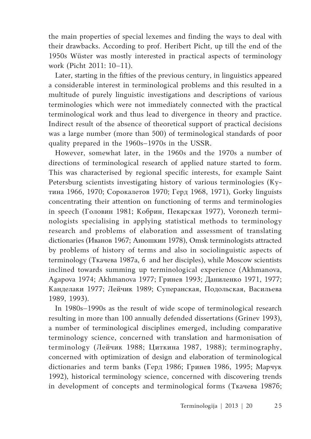the main properties of special lexemes and finding the ways to deal with their drawbacks. According to prof. Heribert Picht, up till the end of the 1950s Wüster was mostly interested in practical aspects of terminology work (Picht 2011: 10–11).

Later, starting in the fifties of the previous century, in linguistics appeared a considerable interest in terminological problems and this resulted in a multitude of purely linguistic investigations and descriptions of various terminologies which were not immediately connected with the practical terminological work and thus lead to divergence in theory and practice. Indirect result of the absence of theoretical support of practical decisions was a large number (more than 500) of terminological standards of poor quality prepared in the 1960s–1970s in the USSR.

However, somewhat later, in the 1960s and the 1970s a number of directions of terminological research of applied nature started to form. This was characterised by regional specific interests, for example Saint Petersburg scientists investigating history of various terminologies (Кутина 1966, 1970; Сорокалетов 1970; Герд 1968, 1971), Gorky linguists concentrating their attention on functioning of terms and terminologies in speech (Головин 1981; Кобрин, Пекарская 1977), Voronezh terminologists specialising in applying statistical methods to terminology research and problems of elaboration and assessment of translating dictionaries (Иванов 1967; Анюшкин 1978), Omsk terminologists attracted by problems of history of terms and also in sociolinguistic aspects of terminology (Ткачева 1987а, б and her disciples), while Moscow scientists inclined towards summing up terminological experience (Akhmanova, Agapova 1974; Akhmanova 1977; Гринев 1993; Даниленко 1971, 1977; Канделаки 1977; Лейчик 1989; Суперанская, Подольская, Васильева 1989, 1993).

In 1980s–1990s as the result of wide scope of terminological research resulting in more than 100 annually defended dissertations (Grinev 1993), a number of terminological disciplines emerged, including comparative terminology science, concerned with translation and harmonisation of terminology (Лейчик 1988; Циткина 1987, 1988); terminography, concerned with optimization of design and elaboration of terminological dictionaries and term banks (Герд 1986; Гринев 1986, 1995; Марчук 1992), historical terminology science, concerned with discovering trends in development of concepts and terminological forms (Ткачева 1987б;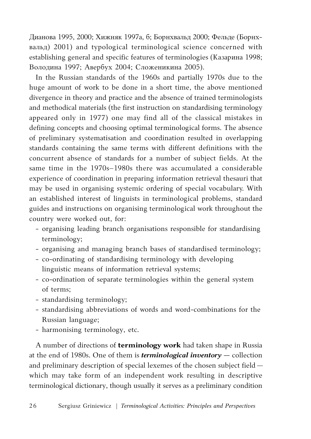Дианова 1995, 2000; Хижняк 1997а, б; Борнхвальд 2000; Фельде (Борнхвальд) 2001) and typological terminological science concerned with establishing general and specific features of terminologies (Казарина 1998; Володина 1997; Авербух 2004; Сложеникина 2005).

In the Russian standards of the 1960s and partially 1970s due to the huge amount of work to be done in a short time, the above mentioned divergence in theory and practice and the absence of trained terminologists and methodical materials (the first instruction on standardising terminology appeared only in 1977) one may find all of the classical mistakes in defining concepts and choosing optimal terminological forms. The absence of preliminary systematisation and coordination resulted in overlapping standards containing the same terms with different definitions with the concurrent absence of standards for a number of subject fields. At the same time in the 1970s–1980s there was accumulated a considerable experience of coordination in preparing information retrieval thesauri that may be used in organising systemic ordering of special vocabulary. With an established interest of linguists in terminological problems, standard guides and instructions on organising terminological work throughout the country were worked out, for:

- organising leading branch organisations responsible for standardising terminology;
- organising and managing branch bases of standardised terminology;
- co-ordinating of standardising terminology with developing linguistic means of information retrieval systems;
- co-ordination of separate terminologies within the general system of terms;
- standardising terminology;
- standardising abbreviations of words and word-combinations for the Russian language;
- harmonising terminology, etc.

A number of directions of **terminology work** had taken shape in Russia at the end of 1980s. One of them is *terminological inventory —* collection and preliminary description of special lexemes of the chosen subject field which may take form of an independent work resulting in descriptive terminological dictionary, though usually it serves as a preliminary condition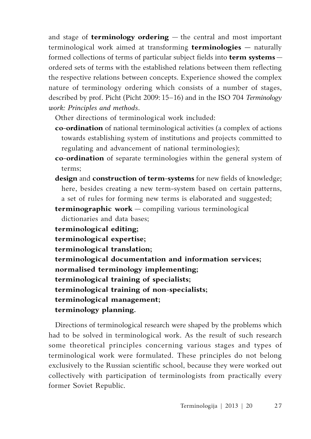and stage of **terminology ordering** — the central and most important terminological work aimed at transforming **terminologies —** naturally formed collections of terms of particular subject fields into **term systems** ordered sets of terms with the established relations between them reflecting the respective relations between concepts. Experience showed the complex nature of terminology ordering which consists of a number of stages, described by prof. Picht (Picht 2009: 15–16) and in the ISO 704 *Terminology work: Principles and methods*.

Other directions of terminological work included:

- **co-ordination** of national terminological activities (a complex of actions towards establishing system of institutions and projects committed to regulating and advancement of national terminologies);
- **co**-**ordination** of separate terminologies within the general system of terms;
- **design** and **construction of term-systems** for new fields of knowledge; here, besides creating a new term-system based on certain patterns, a set of rules for forming new terms is elaborated and suggested;

**terminographic work** — compiling various terminological dictionaries and data bases;

**terminological editing; terminological expertise; terminological translation; terminological documentation and information services; normalised terminology implementing; terminological training of specialists; terminological training of non-specialists; terminological management; terminology planning.**

Directions of terminological research were shaped by the problems which had to be solved in terminological work. As the result of such research some theoretical principles concerning various stages and types of terminological work were formulated. These principles do not belong exclusively to the Russian scientific school, because they were worked out collectively with participation of terminologists from practically every former Soviet Republic.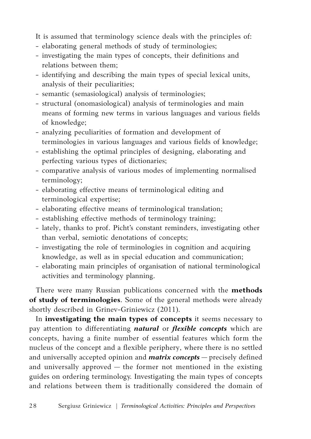It is assumed that terminology science deals with the principles of:

- elaborating general methods of study of terminologies;
- investigating the main types of concepts, their definitions and relations between them;
- identifying and describing the main types of special lexical units, analysis of their peculiarities;
- semantic (semasiological) analysis of terminologies;
- structural (onomasiological) analysis of terminologies and main means of forming new terms in various languages and various fields of knowledge;
- analyzing peculiarities of formation and development of terminologies in various languages and various fields of knowledge;
- establishing the optimal principles of designing, elaborating and perfecting various types of dictionaries;
- **-** comparative analysis of various modes of implementing normalised terminology;
- elaborating effective means of terminological editing and terminological expertise;
- elaborating effective means of terminological translation;
- establishing effective methods of terminology training;
- lately, thanks to prof. Picht's constant reminders, investigating other than verbal, semiotic denotations of concepts;
- investigating the role of terminologies in cognition and acquiring knowledge, as well as in special education and communication;
- elaborating main principles of organisation of national terminological activities and terminology planning.

There were many Russian publications concerned with the **methods of study of terminologies**. Some of the general methods were already shortly described in Grinev-Griniewicz (2011).

In **investigating the main types of concepts** it seems necessary to pay attention to differentiating *natural* or *flexible concepts* which are concepts, having a finite number of essential features which form the nucleus of the concept and a flexible periphery, where there is no settled and universally accepted opinion and *matrix concepts* — precisely defined and universally approved — the former not mentioned in the existing guides on ordering terminology. Investigating the main types of concepts and relations between them is traditionally considered the domain of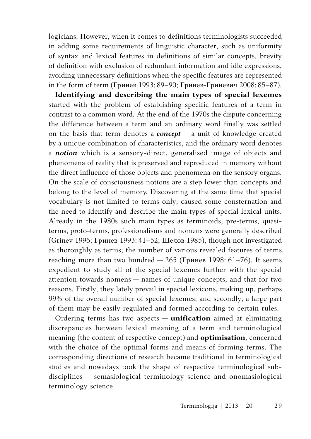logicians. However, when it comes to definitions terminologists succeeded in adding some requirements of linguistic character, such as uniformity of syntax and lexical features in definitions of similar concepts, brevity of definition with exclusion of redundant information and idle expressions, avoiding unnecessary definitions when the specific features are represented in the form of term (Гринев 1993: 89–90; Гринев-Гриневич 2008: 85–87).

**Identifying and describing the main types of special lexemes** started with the problem of establishing specific features of a term in contrast to a common word. At the end of the 1970s the dispute concerning the difference between a term and an ordinary word finally was settled on the basis that term denotes a *concept* — a unit of knowledge created by a unique combination of characteristics, and the ordinary word denotes a *notion* which is a sensory-direct, generalised image of objects and phenomena of reality that is preserved and reproduced in memory without the direct influence of those objects and phenomena on the sensory organs. On the scale of consciousness notions are a step lower than concepts and belong to the level of memory. Discovering at the same time that special vocabulary is not limited to terms only, caused some consternation and the need to identify and describe the main types of special lexical units. Already in the 1980s such main types as terminoids, pre-terms, quasiterms, proto-terms, professionalisms and nomens were generally described (Grinev 1996; Гринев 1993: 41–52; Шелов 1985), though not investigated as thoroughly as terms, the number of various revealed features of terms reaching more than two hundred  $-265$  (Гринев 1998: 61-76). It seems expedient to study all of the special lexemes further with the special attention towards nomens — names of unique concepts, and that for two reasons. Firstly, they lately prevail in special lexicons, making up, perhaps 99% of the overall number of special lexemes; and secondly, a large part of them may be easily regulated and formed according to certain rules.

Ordering terms has two aspects — **unification** aimed at eliminating discrepancies between lexical meaning of a term and terminological meaning (the content of respective concept) and **optimisation**, concerned with the choice of the optimal forms and means of forming terms. The corresponding directions of research became traditional in terminological studies and nowadays took the shape of respective terminological subdisciplines — semasiological terminology science and onomasiological terminology science.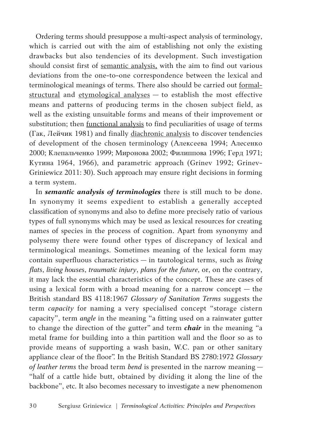Ordering terms should presuppose a multi-aspect analysis of terminology, which is carried out with the aim of establishing not only the existing drawbacks but also tendencies of its development. Such investigation should consist first of semantic analysis, with the aim to find out various deviations from the one-to-one correspondence between the lexical and terminological meanings of terms. There also should be carried out formalstructural and etymological analyses - to establish the most effective means and patterns of producing terms in the chosen subject field, as well as the existing unsuitable forms and means of their improvement or substitution; then <u>functional analysis</u> to find peculiarities of usage of terms (Гак, Лейчик 1981) and finally diachronic analysis to discover tendencies of development of the chosen terminology (Алексеева 1994; Алесенко 2000; Клепальченко 1999; Миронова 2002; Филиппова 1996; Герд 1971; Кутина 1964, 1966), and parametric approach (Grinev 1992; Grinev-Griniewicz 2011: 30). Such approach may ensure right decisions in forming a term system.

In *semantic analysis of terminologies* there is still much to be done. In synonymy it seems expedient to establish a generally accepted classification of synonyms and also to define more precisely ratio of various types of full synonyms which may be used as lexical resources for creating names of species in the process of cognition. Apart from synonymy and polysemy there were found other types of discrepancy of lexical and terminological meanings. Sometimes meaning of the lexical form may contain superfluous characteristics — in tautological terms, such as *living flats*, *living houses*, *traumatic injury*, *plans for the future*, or, on the contrary, it may lack the essential characteristics of the concept. These are cases of using a lexical form with a broad meaning for a narrow concept — the British standard BS 4118:1967 *Glossary of Sanitation Terms* suggests the term *capacity* for naming a very specialised concept "storage cistern capacity", term *angle* in the meaning "a fitting used on a rainwater gutter to change the direction of the gutter" and term *chair* in the meaning "a metal frame for building into a thin partition wall and the floor so as to provide means of supporting a wash basin, W.C. pan or other sanitary appliance clear of the floor". In the British Standard BS 2780:1972 *Glossary of leather terms* the broad term *bend* is presented in the narrow meaning — "half of a cattle hide butt, obtained by dividing it along the line of the backbone", etc. It also becomes necessary to investigate a new phenomenon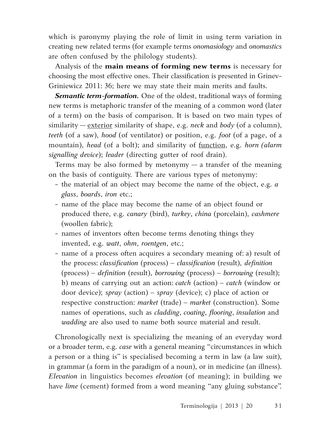which is paronymy playing the role of limit in using term variation in creating new related terms (for example terms *onomasiology* and *onomastics*  are often confused by the philology students).

Analysis of the **main means of forming new terms** is necessary for choosing the most effective ones. Their classification is presented in Grinev-Griniewicz 2011: 36; here we may state their main merits and faults.

**Semantic term-formation.** One of the oldest, traditional ways of forming new terms is metaphoric transfer of the meaning of a common word (later of a term) on the basis of comparison. It is based on two main types of similarity — exterior similarity of shape, e.g. *neck* and *body* (of a column), *teeth* (of a saw), *hood* (of ventilator) or position, e.g. *foot* (of a page, of a mountain), *head* (of a bolt); and similarity of function, e.g. *horn (alarm signalling device*); *leader* (directing gutter of roof drain).

Terms may be also formed by metonymy  $-$  a transfer of the meaning on the basis of contiguity. There are various types of metonymy:

- the material of an object may become the name of the object, e.g. *a glass*, *boards*, *iron* etc.;
- name of the place may become the name of an object found or produced there, e.g. *canary* (bird), *turkey*, *china* (porcelain), *cashmere*  (woollen fabric);
- names of inventors often become terms denoting things they invented, e.g. *watt*, *ohm*, *roentgen*, etc.;
- name of a process often acquires a secondary meaning of: a) result of the process: *classification* (process) – *classification* (result), *definition* (process) – *definition* (result), *borrowing* (process) – *borrowing* (result); b) means of carrying out an action: *catch* (action) – *catch* (window or door device); *spray* (action) – *spray* (device); c) place of action or respective construction: *market* (trade) – *market* (construction). Some names of operations, such as *cladding*, *coating*, *flooring*, *insulation* and *wadding* are also used to name both source material and result.

Chronologically next is specializing the meaning of an everyday word or a broader term, e.g. *case* with a general meaning "circumstances in which a person or a thing is" is specialised becoming a term in law (a law suit), in grammar (a form in the paradigm of a noun), or in medicine (an illness). *Elevation* in linguistics becomes *elevation* (of meaning); in building we have *lime* (cement) formed from a word meaning "any gluing substance".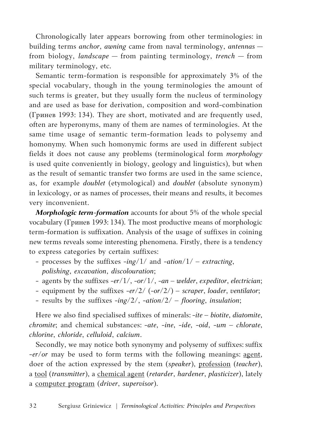Chronologically later appears borrowing from other terminologies: in building terms *anchor*, *awning* came from naval terminology, *antennas* from biology, *landscape* — from painting terminology, *trench* — from military terminology, etc.

Semantic term-formation is responsible for approximately 3% of the special vocabulary, though in the young terminologies the amount of such terms is greater, but they usually form the nucleus of terminology and are used as base for derivation, composition and word-combination (Гринев 1993: 134). They are short, motivated and are frequently used, often are hyperonyms, many of them are names of terminologies. At the same time usage of semantic term-formation leads to polysemy and homonymy. When such homonymic forms are used in different subject fields it does not cause any problems (terminological form *morphology* is used quite conveniently in biology, geology and linguistics), but when as the result of semantic transfer two forms are used in the same science, as, for example *doublet* (etymological) and *doublet* (absolute synonym) in lexicology, or as names of processes, their means and results, it becomes very inconvenient.

*Morphologic term-formation* accounts for about 5% of the whole special vocabulary (Гринев 1993: 134). The most productive means of morphologic term-formation is suffixation. Analysis of the usage of suffixes in coining new terms reveals some interesting phenomena. Firstly, there is a tendency to express categories by certain suffixes:

- processes by the suffixes -*ing*/1/ and -*ation*/1/ *extracting*, *polishing*, *excavation*, *discolouration*;
- agents by the suffixes -*er*/1/, -*or*/1/, -*an welder*, *expeditor*, *electrician*;
- equipment by the suffixes -*er*/2/ (-*or*/2/) *scraper*, *loader*, *ventilator*;
- results by the suffixes -*ing*/2/, -*ation*/2/ *flooring*, *insulation*;

Here we also find specialised suffixes of minerals: -*ite* – *biotite*, *diatomite*, *chromite*; and chemical substances: -*ate*, *-ine*, *-ide*, *-oid*, *-um* – *chlorate*, *chlorine*, *chloride*, *celluloid*, *calcium*.

Secondly, we may notice both synonymy and polysemy of suffixes: suffix -*er/or* may be used to form terms with the following meanings: agent, doer of the action expressed by the stem (*speaker*), profession (*teacher*), a tool (*transmitter*), a chemical agent (*retarder*, *hardener*, *plasticizer*), lately a computer program (*driver*, *supervisor*).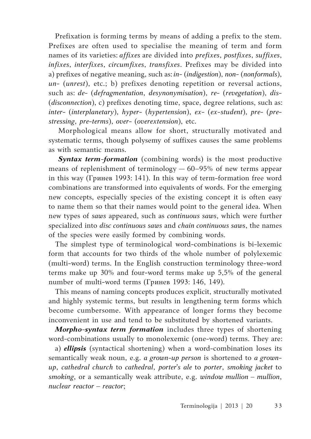Prefixation is forming terms by means of adding a prefix to the stem. Prefixes are often used to specialise the meaning of term and form names of its varieties: *affixes* are divided into *prefixes*, *postfixes*, *suffixes*, *infixes*, *interfixes*, *circumfixes*, *transfixes*. Prefixes may be divided into a) prefixes of negative meaning, such as: *in*- (*indigestion*), *non*- (*nonformals*), *un*- (*unrest*), etc.; b) prefixes denoting repetition or reversal actions, such as: *de*- (*defragmentation*, *desynonymisation*), *re*- (*revegetation*), *dis*- (*disconnection*), c) prefixes denoting time, space, degree relations, such as: *inter*- (*interplanetary*), *hyper*- (*hypertension*), *ex*- (*ex*-*student*), *pre*- (*prestressing*, *pre-terms*), *over*- (*overextension*), etc.

Morphological means allow for short, structurally motivated and systematic terms, though polysemy of suffixes causes the same problems as with semantic means.

*Syntax term-formation* (combining words) is the most productive means of replenishment of terminology — 60–95% of new terms appear in this way (Гринев 1993: 141). In this way of term-formation free word combinations are transformed into equivalents of words. For the emerging new concepts, especially species of the existing concept it is often easy to name them so that their names would point to the general idea. When new types of *saws* appeared, such as *continuous saws*, which were further specialized into *disc continuous saws* and *chain continuous saws*, the names of the species were easily formed by combining words.

The simplest type of terminological word-combinations is bi-lexemic form that accounts for two thirds of the whole number of polylexemic (multi-word) terms. In the English construction terminology three-word terms make up 30% and four-word terms make up 5,5% of the general number of multi-word terms (Гринев 1993: 146, 149).

This means of naming concepts produces explicit, structurally motivated and highly systemic terms, but results in lengthening term forms which become cumbersome. With appearance of longer forms they become inconvenient in use and tend to be substituted by shortened variants.

*Morpho-syntax term formation* includes three types of shortening word-combinations usually to monolexemic (one-word) terms. They are:

a) *ellipsis* (syntactical shortening) when a word-combination loses its semantically weak noun, e.g. *a grown-up person* is shortened to *a grownup*, *cathedral church* to *cathedral*, *porter's ale* to *porter*, *smoking jacket* to *smoking*, or a semantically weak attribute, e.g. *window mullion – mullion*, *nuclear reactor – reactor*;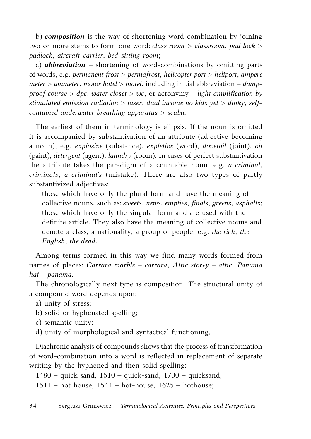b) *composition* is the way of shortening word-combination by joining two or more stems to form one word: *class room* > *classroom*, *pad lock > padlock*, *aircraft-carrier*, *bed-sitting-room*;

c) *abbreviation* – shortening of word-combinations by omitting parts of words, e.g. *permanent frost > permafrost*, *helicopter port > heliport*, *ampere meter > ammeter*, *motor hotel > motel*, including initial abbreviation – *dampproof course > dpc*, *water closet > wc*, or acronymy – *light amplification by stimulated emission radiation > laser*, *dual income no kids yet > dinky, selfcontained underwater breathing apparatus > scuba.* 

The earliest of them in terminology is ellipsis. If the noun is omitted it is accompanied by substantivation of an attribute (adjective becoming a noun), e.g. *explosive* (substance), *expletive* (word), *dovetail* (joint), *oil* (paint), *detergent* (agent), *laundry* (room). In cases of perfect substantivation the attribute takes the paradigm of a countable noun, e.g. *a criminal*, *criminals*, *a criminal's* (mistake). There are also two types of partly substantivized adjectives:

- those which have only the plural form and have the meaning of collective nouns, such as: *sweets*, *news*, *empties*, *finals*, *greens*, *asphalts*;
- those which have only the singular form and are used with the definite article. They also have the meaning of collective nouns and denote a class, a nationality, a group of people, e.g. *the rich*, *the English*, *the dead*.

Among terms formed in this way we find many words formed from names of places: *Carrara marble – carrara*, *Attic storey – attic*, *Panama hat – panama*.

The chronologically next type is composition. The structural unity of a compound word depends upon:

- a) unity of stress;
- b) solid or hyphenated spelling;
- c) semantic unity;
- d) unity of morphological and syntactical functioning.

Diachronic analysis of compounds shows that the process of transformation of word-combination into a word is reflected in replacement of separate writing by the hyphened and then solid spelling:

1480 – quick sand, 1610 – quick-sand, 1700 – quicksand; 1511 – hot house, 1544 – hot-house, 1625 – hothouse;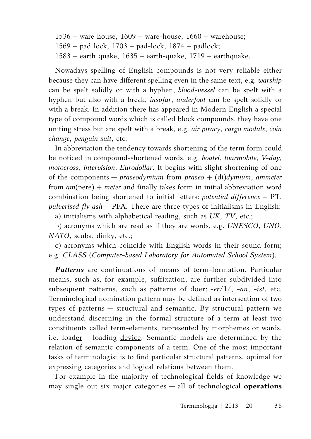1536 – ware house, 1609 – ware-house, 1660 – warehouse; 1569 – pad lock, 1703 – pad-lock, 1874 – padlock; 1583 – earth quake, 1635 – earth-quake, 1719 – earthquake.

Nowadays spelling of English compounds is not very reliable either because they can have different spelling even in the same text, e.g. *warship*  can be spelt solidly or with a hyphen, *blood-vessel* can be spelt with a hyphen but also with a break, *insofar*, *underfoot* can be spelt solidly or with a break. In addition there has appeared in Modern English a special type of compound words which is called **block compounds**, they have one uniting stress but are spelt with a break, e.g. *air piracy*, *cargo module*, *coin change*, *penguin suit*, etc.

In abbreviation the tendency towards shortening of the term form could be noticed in compound-shortened words, e.g. *boatel*, *tourmobile*, *V-day, motocross*, *intervision*, *Eurodollar*. It begins with slight shortening of one of the components — *praseodymium* from *praseо* + (di)*dymium*, *ammeter* from *am*(pere) + *meter* and finally takes form in initial abbreviation word combination being shortened to initial letters: *potential difference* – PT, *pulverised fly ash* – PFA. There are three types of initialisms in English:

a) initialisms with alphabetical reading, such as *UK*, *TV*, etc.;

b) acronyms which are read as if they are words, e.g. *UNESCO*, *UNO*, *NATO*, scuba, dinky, etc.;

c) acronyms which coincide with English words in their sound form; e.g. *CLASS* (*Computer-based Laboratory for Automated School System*).

*Patterns* are continuations of means of term-formation. Particular means, such as, for example, suffixation, are further subdivided into subsequent patterns, such as patterns of doer: -*er*/1/, -*an*, -*ist*, etc. Terminological nomination pattern may be defined as intersection of two types of patterns — structural and semantic. By structural pattern we understand discerning in the formal structure of a term at least two constituents called term-elements, represented by morphemes or words, i.e. loader – loading <u>device</u>. Semantic models are determined by the relation of semantic components of a term. One of the most important tasks of terminologist is to find particular structural patterns, optimal for expressing categories and logical relations between them.

For example in the majority of technological fields of knowledge we may single out six major categories — all of technological **operations**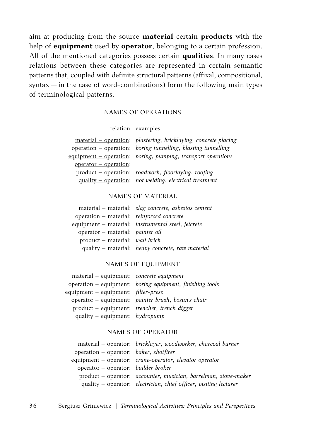aim at producing from the source **material** certain **products** with the help of **equipment** used by **operator**, belonging to a certain profession. All of the mentioned categories possess certain **qualities**. In many cases relations between these categories are represented in certain semantic patterns that, coupled with definite structural patterns (affixal, compositional, syntax — in the case of word-combinations) form the following main types of terminological patterns.

## Names of operations

relation examples

| material – operation: plastering, bricklaying, concrete placing |
|-----------------------------------------------------------------|
| operation - operation: boring tunnelling, blasting tunnelling   |
| $equipment - operation:$ boring, pumping, transport operations  |
|                                                                 |
| product – operation: roadwork, floorlaying, roofing             |
| quality – operation: hot welding, electrical treatment          |
|                                                                 |

## Names of material

|                                           | material - material: slag concrete, asbestos cement       |
|-------------------------------------------|-----------------------------------------------------------|
| operation - material: reinforced concrete |                                                           |
|                                           | equipment – material: <i>instrumental steel, jetcrete</i> |
| operator - material: painter oil          |                                                           |
| product - material: wall brick            |                                                           |
|                                           | quality - material: heavy concrete, raw material          |

## Names of equipment

| material – equipment: <i>concrete equipment</i>             |                                                                   |
|-------------------------------------------------------------|-------------------------------------------------------------------|
|                                                             | operation - equipment: boring equipment, finishing tools          |
| equipment – equipment: <i>filter-press</i>                  |                                                                   |
|                                                             | operator – equipment: <i>painter brush</i> , <i>bosun's chair</i> |
| product – equipment: <i>trencher</i> , <i>trench digger</i> |                                                                   |
| quality - equipment: hydropump                              |                                                                   |

## Names of operator

|                                        | material - operator: bricklayer, woodworker, charcoal burner           |
|----------------------------------------|------------------------------------------------------------------------|
| operation – operator: baker, shotfirer |                                                                        |
|                                        | equipment – operator: <i>crane-operator</i> , <i>elevator operator</i> |
| operator – operator: builder broker    |                                                                        |
|                                        | product - operator: accounter, musician, barrelman, stove-maker        |
|                                        | quality – operator: electrician, chief officer, visiting lecturer      |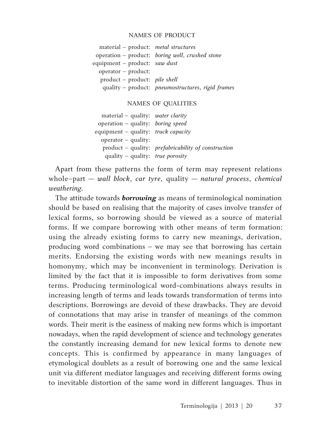#### Names of product

| material – product: <i>metal structures</i> |                                                   |
|---------------------------------------------|---------------------------------------------------|
|                                             | operation - product: boring well, crushed stone   |
| equipment – product: saw dust               |                                                   |
| operator - product:                         |                                                   |
| $product - product:$ <i>pile shell</i>      |                                                   |
|                                             | quality - product: pneumostructures, rigid frames |

#### Names of qualities

| $material - quality: water clarity$        |                                                     |
|--------------------------------------------|-----------------------------------------------------|
| operation – quality: <i>boring speed</i>   |                                                     |
| equipment – quality: <i>truck capacity</i> |                                                     |
| $operator - quality:$                      |                                                     |
|                                            | product - quality: prefabricability of construction |
| quality – quality: <i>true porosity</i>    |                                                     |

Apart from these patterns the form of term may represent relations whole–part — *wall block*, *car tyre*, quality — *natural process*, *chemical weathering.*

The attitude towards *borrowing* as means of terminological nomination should be based on realising that the majority of cases involve transfer of lexical forms, so borrowing should be viewed as a source of material forms. If we compare borrowing with other means of term formation: using the already existing forms to carry new meanings, derivation, producing word combinations – we may see that borrowing has certain merits. Endorsing the existing words with new meanings results in homonymy, which may be inconvenient in terminology. Derivation is limited by the fact that it is impossible to form derivatives from some terms. Producing terminological word-combinations always results in increasing length of terms and leads towards transformation of terms into descriptions. Borrowings are devoid of these drawbacks. They are devoid of connotations that may arise in transfer of meanings of the common words. Their merit is the easiness of making new forms which is important nowadays, when the rapid development of science and technology generates the constantly increasing demand for new lexical forms to denote new concepts. This is confirmed by appearance in many languages of etymological doublets as a result of borrowing one and the same lexical unit via different mediator languages and receiving different forms owing to inevitable distortion of the same word in different languages. Thus in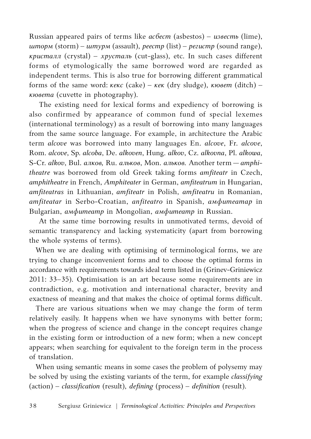Russian appeared pairs of terms like *асбест* (asbestos) – *известь* (lime), *шторм* (storm) – *штурм* (assault), *реестр* (list) – *регистр* (sound range), *кристалл* (crystal) – *хрусталь* (cut-glass), etc. In such cases different forms of etymologically the same borrowed word are regarded as independent terms. This is also true for borrowing different grammatical forms of the same word: *кекс* (cake) – *кек* (dry sludge), *кювет* (ditch) – *кювета* (cuvette in photography).

The existing need for lexical forms and expediency of borrowing is also confirmed by appearance of common fund of special lexemes (international terminology) as a result of borrowing into many languages from the same source language. For example, in architecture the Arabic term *alcove* was borrowed into many languages En. *alcove*, Fr. *alcove*, Rom. *alcove*, Sp. *alcoba*, De. *alkoven*, Hung. *alkov*, Cz. *alkovna*, Pl. *alkowa*, S-Cr. *alkov*, Bul. *алков,* Ru. *альков*, Mon. *альков.* Another term — *amphitheatre* was borrowed from old Greek taking forms *amfiteatr* in Czech, *amphitheatre* in French, *Amphiteater* in German, *amfiteatrum* in Hungarian, *amfiteatras* in Lithuanian, *amfiteatr* in Polish, *amfiteatru* in Romanian, *amfiteatar* in Serbo-Croatian, *anfiteatro* in Spanish, *амфитеатар* in Bulgarian, *амфитеатр* in Mongolian, *амфитеатр* in Russian.

At the same time borrowing results in unmotivated terms, devoid of semantic transparency and lacking systematicity (apart from borrowing the whole systems of terms).

When we are dealing with optimising of terminological forms, we are trying to change inconvenient forms and to choose the optimal forms in accordance with requirements towards ideal term listed in (Grinev-Griniewicz 2011: 33–35). Optimisation is an art because some requirements are in contradiction, e.g. motivation and international character, brevity and exactness of meaning and that makes the choice of optimal forms difficult.

There are various situations when we may change the form of term relatively easily. It happens when we have synonyms with better form; when the progress of science and change in the concept requires change in the existing form or introduction of a new form; when a new concept appears; when searching for equivalent to the foreign term in the process of translation.

When using semantic means in some cases the problem of polysemy may be solved by using the existing variants of the term, for example *classifying* (action) – *classification* (result), *defining* (process) – *definition* (result).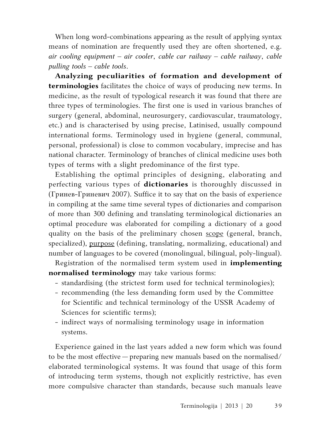When long word-combinations appearing as the result of applying syntax means of nomination are frequently used they are often shortened, e.g. *air cooling equipment – air cooler*, *cable car railway – cable railway*, *cable pulling tools – cable tools*.

**Analyzing peculiarities of formation and development of terminologies** facilitates the choice of ways of producing new terms. In medicine, as the result of typological research it was found that there are three types of terminologies. The first one is used in various branches of surgery (general, abdominal, neurosurgery, cardiovascular, traumatology, etc.) and is characterised by using precise, Latinised, usually compound international forms. Terminology used in hygiene (general, communal, personal, professional) is close to common vocabulary, imprecise and has national character. Terminology of branches of clinical medicine uses both types of terms with a slight predominance of the first type.

Establishing the optimal principles of designing, elaborating and perfecting various types of **dictionaries** is thoroughly discussed in (Гринев-Гриневич 2007). Suffice it to say that on the basis of experience in compiling at the same time several types of dictionaries and comparison of more than 300 defining and translating terminological dictionaries an optimal procedure was elaborated for compiling a dictionary of a good quality on the basis of the preliminary chosen scope (general, branch, specialized), purpose (defining, translating, normalizing, educational) and number of languages to be covered (monolingual, bilingual, poly-lingual).

Registration of the normalised term system used in **implementing normalised terminology** may take various forms:

- standardising (the strictest form used for technical terminologies);
- recommending (the less demanding form used by the Committee for Scientific and technical terminology of the USSR Academy of Sciences for scientific terms);
- indirect ways of normalising terminology usage in information systems.

Experience gained in the last years added a new form which was found to be the most effective — preparing new manuals based on the normalised/ elaborated terminological systems. It was found that usage of this form of introducing term systems, though not explicitly restrictive, has even more compulsive character than standards, because such manuals leave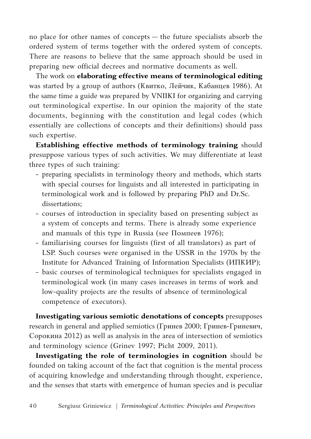no place for other names of concepts — the future specialists absorb the ordered system of terms together with the ordered system of concepts. There are reasons to believe that the same approach should be used in preparing new official decrees and normative documents as well.

The work on **elaborating effective means of terminological editing** was started by a group of authors (Квитко, Лейчик, Кабанцев 1986). At the same time a guide was prepared by VNIIKI for organizing and carrying out terminological expertise. In our opinion the majority of the state documents, beginning with the constitution and legal codes (which essentially are collections of concepts and their definitions) should pass such expertise.

**Establishing effective methods of terminology training** should presuppose various types of such activities. We may differentiate at least three types of such training:

- preparing specialists in terminology theory and methods, which starts with special courses for linguists and all interested in participating in terminological work and is followed by preparing PhD and Dr.Sc. dissertations;
- courses of introduction in speciality based on presenting subject as a system of concepts and terms. There is already some experience and manuals of this type in Russia (see Помпеев 1976);
- familiarising courses for linguists (first of all translators) as part of LSP. Such courses were organised in the USSR in the 1970s by the Institute for Advanced Training of Information Specialists (ИПКИР);
- basic courses of terminological techniques for specialists engaged in terminological work (in many cases increases in terms of work and low-quality projects are the results of absence of terminological competence of executors).

**Investigating various semiotic denotations of concepts** presupposes research in general and applied semiotics (Гринев 2000; Гринев-Гриневич, Сорокина 2012) as well as analysis in the area of intersection of semiotics and terminology science (Grinev 1997; Picht 2009, 2011).

**Investigating the role of terminologies in cognition** should be founded on taking account of the fact that cognition is the mental process of acquiring knowledge and understanding through thought, experience, and the senses that starts with emergence of human species and is peculiar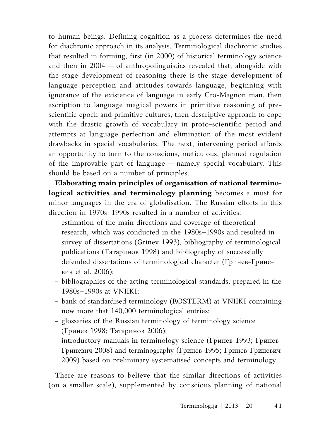to human beings. Defining cognition as a process determines the need for diachronic approach in its analysis. Terminological diachronic studies that resulted in forming, first (in 2000) of historical terminology science and then in 2004 — of anthropolinguistics revealed that, alongside with the stage development of reasoning there is the stage development of language perception and attitudes towards language, beginning with ignorance of the existence of language in early Cro-Magnon man, then ascription to language magical powers in primitive reasoning of prescientific epoch and primitive cultures, then descriptive approach to cope with the drastic growth of vocabulary in proto-scientific period and attempts at language perfection and elimination of the most evident drawbacks in special vocabularies. The next, intervening period affords an opportunity to turn to the conscious, meticulous, planned regulation of the improvable part of language — namely special vocabulary. This should be based on a number of principles.

**Elaborating main principles of organisation of national terminological activities and terminology planning** becomes a must for minor languages in the era of globalisation. The Russian efforts in this direction in 1970s–1990s resulted in a number of activities:

- estimation of the main directions and coverage of theoretical research, which was conducted in the 1980s–1990s and resulted in survey of dissertations (Grinev 1993), bibliography of terminological publications (Татаринов 1998) and bibliography of successfully defended dissertations of terminological character (Гринев-Гриневич et al. 2006);
- bibliographies of the acting terminological standards, prepared in the 1980s–1990s at VNIIKI;
- bank of standardised terminology (ROSTERM) at VNIIKI containing now more that 140,000 terminological entries;
- glossaries of the Russian terminology of terminology science (Гринев 1998; Татаринов 2006);
- introductory manuals in terminology science (Гринев 1993; Гринев-Гриневич 2008) and terminography (Гринев 1995; Гринев-Гриневич 2009) based on preliminary systematised concepts and terminology.

There are reasons to believe that the similar directions of activities (on a smaller scale), supplemented by conscious planning of national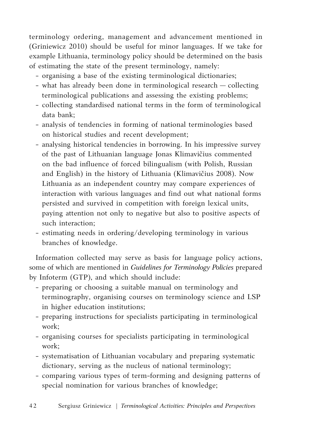terminology ordering, management and advancement mentioned in (Griniewicz 2010) should be useful for minor languages. If we take for example Lithuania, terminology policy should be determined on the basis of estimating the state of the present terminology, namely:

- organising a base of the existing terminological dictionaries;
- what has already been done in terminological research collecting terminological publications and assessing the existing problems;
- collecting standardised national terms in the form of terminological data bank;
- analysis of tendencies in forming of national terminologies based on historical studies and recent development;
- analysing historical tendencies in borrowing. In his impressive survey of the past of Lithuanian language Jonas Klimavičius commented on the bad influence of forced bilingualism (with Polish, Russian and English) in the history of Lithuania (Klimavičius 2008). Now Lithuania as an independent country may compare experiences of interaction with various languages and find out what national forms persisted and survived in competition with foreign lexical units, paying attention not only to negative but also to positive aspects of such interaction;
- estimating needs in ordering/developing terminology in various branches of knowledge.

Information collected may serve as basis for language policy actions, some of which are mentioned in *Guidelines for Terminology Policies* prepared by Infoterm (GTP), and which should include:

- preparing or choosing a suitable manual on terminology and terminography, organising courses on terminology science and LSP in higher education institutions;
- preparing instructions for specialists participating in terminological work;
- organising courses for specialists participating in terminological work;
- systematisation of Lithuanian vocabulary and preparing systematic dictionary, serving as the nucleus of national terminology;
- comparing various types of term-forming and designing patterns of special nomination for various branches of knowledge;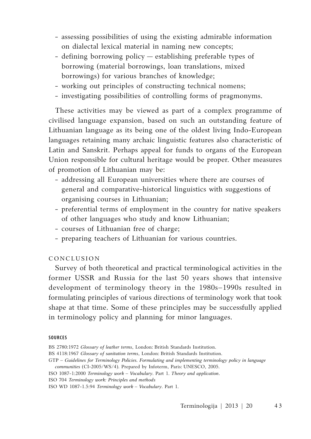- assessing possibilities of using the existing admirable information on dialectal lexical material in naming new concepts;
- defining borrowing policy establishing preferable types of borrowing (material borrowings, loan translations, mixed borrowings) for various branches of knowledge;
- working out principles of constructing technical nomens;
- investigating possibilities of controlling forms of pragmonyms.

These activities may be viewed as part of a complex programme of civilised language expansion, based on such an outstanding feature of Lithuanian language as its being one of the oldest living Indo-European languages retaining many archaic linguistic features also characteristic of Latin and Sanskrit. Perhaps appeal for funds to organs of the European Union responsible for cultural heritage would be proper. Other measures of promotion of Lithuanian may be:

- addressing all European universities where there are courses of general and comparative-historical linguistics with suggestions of organising courses in Lithuanian;
- preferential terms of employment in the country for native speakers of other languages who study and know Lithuanian;
- courses of Lithuanian free of charge;
- preparing teachers of Lithuanian for various countries.

# Conclusion

Survey of both theoretical and practical terminological activities in the former USSR and Russia for the last 50 years shows that intensive development of terminology theory in the 1980s–1990s resulted in formulating principles of various directions of terminology work that took shape at that time. Some of these principles may be successfully applied in terminology policy and planning for minor languages.

#### **SOURCES**

BS 2780:1972 *Glossary of leather terms*, London: British Standards Institution.

- GTP *Guidelines for Terminology Policies. Formulating and implementing terminology policy in language communities* (CI-2005/WS/4). Prepared by Infoterm, Paris: UNESCO, 2005.
- ISO 1087-1:2000 *Terminology work Vocabulary.* Part 1. *Theory and application*.
- ISO 704 *Terminology work: Principles and methods*
- ISO WD 1087-1.5:94 *Terminology work Vocabulary.* Part 1.

BS 4118:1967 *Glossary of sanitation terms*, London: British Standards Institution.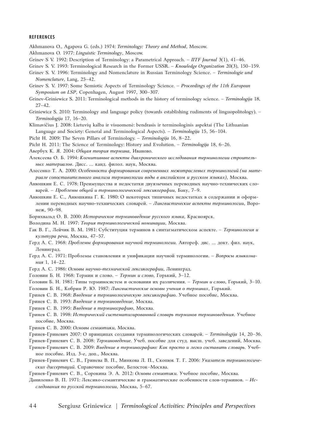#### **REFERENCES**

Akhmanova O., Agapova G. (eds.) 1974: *Terminology: Theory and Method*, Moscow.

- Akhmanova O. 1977: *Linguistic Terminology*, Moscow.
- Grinev S V. 1992: Description of Terminology: a Parametrical Approach. *IITF Journal* 3(1), 41–46.
- Grinev S. V. 1993: Terminological Research in the Former USSR. *Knowledge Organization* 20(3), 150–159.
- Grinev S. V. 1996: Terminology and Nomenclature in Russian Terminology Science. *Terminologie und Nomenclature*, Lang, 25–42.
- Grinev S. V. 1997: Some Semiotic Aspects of Terminology Science*. Proceedings of the 11th European Symposium on LSP*, Copenhagen, August 1997, 300–307.
- Grinev-Griniewicz S. 2011: Terminological methods in the history of terminology science. *Terminologija* 18,  $27-42$
- Griniewicz S. 2010: Terminology and language policy (towards establishing rudiments of linguopolitology). *Terminologija* 17, 16–20.
- Klimavičius J. 2008: Lietuvių kalba ir visuomenė: bendrasis ir terminologinis aspektai (The Lithuanian Language and Society: General and Terminological Aspects). – *Terminologija* 15, 56–104.
- Picht H. 2009: The Seven Pillars of Terminology. – *Terminologija* 16, 8–22.
- Picht H. 2011: The Science of Terminology: History and Evolution. *Terminologija* 18, 6–26.
- Авербух К. Я. 2004: *Общая теория термина*, Иваново.
- Алексеева О. Б. 1994: *Когнитивные аспекты диахронического исследования терминологии строительных материалов*. Дисс. … канд. филол. наук, Москва.
- Алесенко Т. А. 2000: *Особенности формирования современных межотраслевых терминологий (на материале сопоставительного анализа терминологии воды в английском и русском языках)*, Москва.
- Анюшкин Е. С. 1978: Преимущества и недостатки двуязычных переводных научно-технических словарей. – *Проблемы общей и терминологической лексикографии*, Баку, 7–9.
- Анюшкин Е. С., Анюшкина Г. К. 1980: О некоторых типичных недостатках в содержании и оформлении переводных научно-технических словарей. – *Лингвистические аспекты терминологии*, Воронеж, 90–98.
- Борнхвальд О. В. 2000: *Историческое терминоведение русского языка*, Красноярск.
- Володина М. Н. 1997: *Теория терминологической номинации*, Москва.
- Гак В. Г., Лейчик В. М. 1981: Субституция терминов в синтагматическом аспекте. *Терминология и культура речи*, Москва, 47–57.
- Герд А. С. 1968: *Проблемы формирования научной терминологии*. Автореф. дис. ... докт. фил. наук, Ленинград.
- Герд А. С. 1971: Проблемы становления и унификации научной терминологии. *Вопросы языкознания* 1, 14–22.
- Герд А. С. 1986: *Основы научно-технической лексикографии*, Ленинград.
- Головин Б. Н. 1968: Термин и слово. *Термин и слово*, Горький, 3–12.
- Головин Б. Н. 1981: Типы терминосистем и основания их различения. *Термин и слово*, Горький, 3–10.
- Головин Б. Н., Кобрин Р. Ю. 1987: *Лингвистические основы учения о терминах*, Горький.
- Гринев С. В. 1968: *Введение в терминологическую лексикографию*. Учебное пособие, Москва.
- Гринев С. В. 1993: *Введение в терминоведение*, Москва.
- Гринев С. В. 1995: *Введение в терминографию*, Москва.
- Гринев С. В. 1998: *Исторический систематизированный словарь терминов терминоведения*. Учебное пособие, Москва.
- Гринев С. В. 2000: *Основы семиотики*, Москва.
- Гринев-Гриневич 2007: О принципах создания терминологических словарей. *Terminologija* 14, 20–36.
- Гринев-Гриневич С. В. 2008: *Терминоведение*. Учеб. пособие для студ. высш. учеб. заведений, Москва.
- Гринев-Гриневич С. В. 2009: *Введение в терминографию: Как просто и легко составить словарь*. Учебное пособие. Изд. 3-е, доп., Москва.
- Гринев-Гриневич С. В., Гринева В. П., Минкова Л. П., Скопюк Т. Г. 2006: *Указатель терминологических диссертаций*. Справочное пособие, Белосток–Москва.
- Гринев-Гриневич С. В., Сорокина Э. А. 2012: *Основы семиотики*. Учебное пособие, Москва.
- Даниленко В. П. 1971: Лексико-семантические и грамматические особенности слов-терминов. *Исследования по русской терминологии*, Москва, 5–67.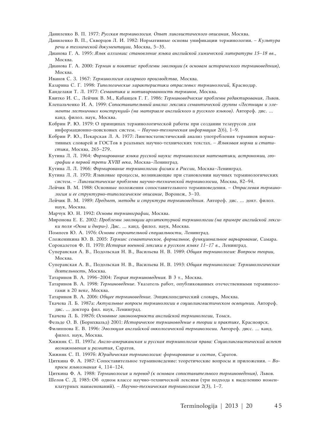Даниленко В. П. 1977: *Русская терминология. Опыт лингвистического описания*, Москва.

- Даниленко В. П., Скворцов Л. И. 1982: Нормативные основы унификации терминологии. *Культура речи в технической документации*, Москва, 5–35.
- Дианова Г. А. 1995: *Язык алхимии: становление языка английской химической литературы 15–18 вв*., Москва.
- Дианова Г. А. 2000: *Термин и понятие: проблемы эволюции (к основам исторического терминоведения)*, Москва.
- Иванов С. З. 1967: *Терминология сахарного производства*, Москва.
- Казарина С. Г. 1998: *Типологические характеристики отраслевых терминологий*, Краснодар.
- Канделаки Т. Л. 1977: *Семантика и мотивированность терминов*, Москва.
- Квитко И. С., Лейчик В. М., Кабанцев Г. Г. 1986: *Терминоведческие проблемы редактирования*, Львов.
- Клепальченко И. А. 1999: *Сопоставительный анализ лексики семантической группы «Лестницы и элементы лестничных конструкций» (на материале английского и русского языков)*. Автореф. дис. … канд. филол. наук, Москва.
- Кобрин Р. Ю. 1979: О принципах терминологической работы при создании тезаурусов для информационно-поисковых систем. – *Научно-техническая информация* 2(6), 1–9.
- Кобрин Р. Ю., Пекарская Л. А. 1977: Лингвостатистический анализ употребления терминов нормативных словарей и ГОСТов в реальных научно-технических текстах. – *Языковая норма и статистика*, Москва, 265–279.
- Кутина Л. Л. 1964: *Формирование языка русской науки: терминология математики, астрономии, географии в первой трети XVIII века*, Москва–Ленинград.
- Кутина Л. Л. 1966: *Формирование терминологии физики в России*, Москва–Ленинград.
- Кутина Л. Л. 1970: Языковые процессы, возникающие при становлении научных терминологических систем. – *Лингвистические проблемы научно-технической терминологии*, Москва, 82–94.
- Лейчик В. М. 1988: Основные положения сопоставительного терминоведения. *Отраслевая терминология и ее структурно-типологическое описание*, Воронеж, 3–10.
- Лейчик В. М. 1989: *Предмет, методы и структура терминоведения*. Автореф. дис. ... докт. филол. наук, Москва.
- Марчук Ю. Н. 1992: *Основы терминографии*, Москва.
- Миронова Е. Е. 2002: *Проблемы эволюции архитектурной терминологии (на примере английской лексики поля «Окна и двери»)*. Дис. … канд. филол. наук, Москва.
- Помпеев Ю. А. 1976: *Основы строительной специальности*, Ленинград.
- Сложеникина Ю. В. 2005: *Термин: семантическое, формальное, функциональное варьирование*, Самара.
- Сорокалетов Ф. П. 1970: *История военной лексики в русском языке 11–17 в*., Ленинград.
- Суперанская А. В., Подольская Н. В., Васильева Н. В. 1989: *Общая терминология: Вопросы теории*, Москва.
- Суперанская А. В., Подольская Н. В., Васильева Н. В. 1993: *Общая терминология: Терминологическая деятельность*, Москва.
- Татаринов В. А. 1996–2004: *Теория терминоведения.* В 3 т., Москва.
- Татаринов В. А. 1998: *Терминоведение*. Указатель работ, опубликованных отечественными терминологами в 20 веке, Москва.
- Татаринов В. А. 2006: *Общее терминоведение.* Энциклопедический словарь, Москва.
- Ткачева Л. Б. 1987а: *Актуальные вопросы терминологии в социолингвистическом освещении*. Автореф. дис. ... доктора фил. наук, Ленинград.
- Ткачева Л. Б. 1987б: *Основные закономерности английской терминологии*, Томск.
- Фельде О. В. (Борнхвальд) 2001: *Историческое терминоведение в теории и практике*, Красноярск.
- Филиппова Е. В. 1996: *Эволюция английской онкологической терминологии*. Автореф. дисс. … канд. филол. наук, Москва.
- Хижняк С. П. 1997а: *Англо-американская и русская терминология права: Социолингвистический аспект возникновения и развития*, Саратов.
- Хижняк С. П. 1997б: *Юридическая терминология: формирование и состав*, Саратов.
- Циткина Ф. А. 1987: Сопоставительное терминоведение: теоретические вопросы и приложения. *Вопросы языкознания* 4, 114–124.
- Циткина Ф. А. 1988: *Терминология и перевод (к основам сопоставительного терминоведения)*, Львов.
- Шелов С. Д. 1985: Об одном классе научно-технической лексики (три подхода к выделению номенклатурных наименований). – *Научно-техническая терминология* 2(3), 1–7.